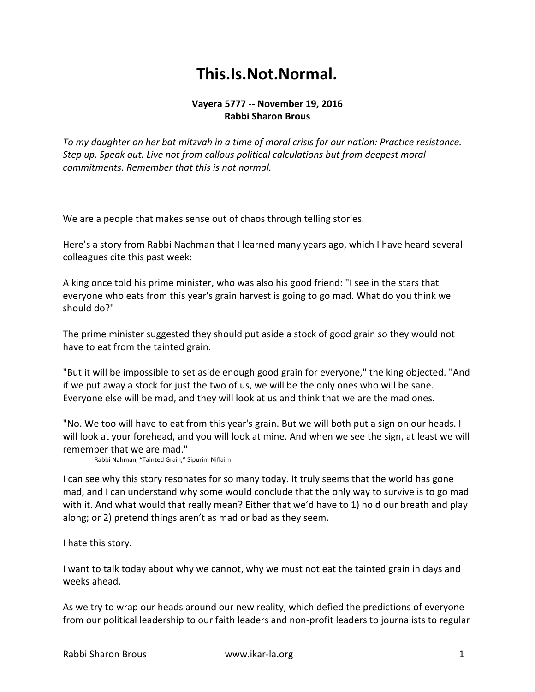## **This.Is.Not.Normal.**

## **Vayera 5777 -- November 19, 2016 Rabbi Sharon Brous**

*To my daughter on her bat mitzvah in a time of moral crisis for our nation: Practice resistance. Step up. Speak out. Live not from callous political calculations but from deepest moral commitments. Remember that this is not normal.*

We are a people that makes sense out of chaos through telling stories.

Here's a story from Rabbi Nachman that I learned many years ago, which I have heard several colleagues cite this past week:

A king once told his prime minister, who was also his good friend: "I see in the stars that everyone who eats from this year's grain harvest is going to go mad. What do you think we should do?"

The prime minister suggested they should put aside a stock of good grain so they would not have to eat from the tainted grain.

"But it will be impossible to set aside enough good grain for everyone," the king objected. "And if we put away a stock for just the two of us, we will be the only ones who will be sane. Everyone else will be mad, and they will look at us and think that we are the mad ones.

"No. We too will have to eat from this year's grain. But we will both put a sign on our heads. I will look at your forehead, and you will look at mine. And when we see the sign, at least we will remember that we are mad."

Rabbi Nahman, "Tainted Grain," Sipurim Niflaim

I can see why this story resonates for so many today. It truly seems that the world has gone mad, and I can understand why some would conclude that the only way to survive is to go mad with it. And what would that really mean? Either that we'd have to 1) hold our breath and play along; or 2) pretend things aren't as mad or bad as they seem.

I hate this story.

I want to talk today about why we cannot, why we must not eat the tainted grain in days and weeks ahead.

As we try to wrap our heads around our new reality, which defied the predictions of everyone from our political leadership to our faith leaders and non-profit leaders to journalists to regular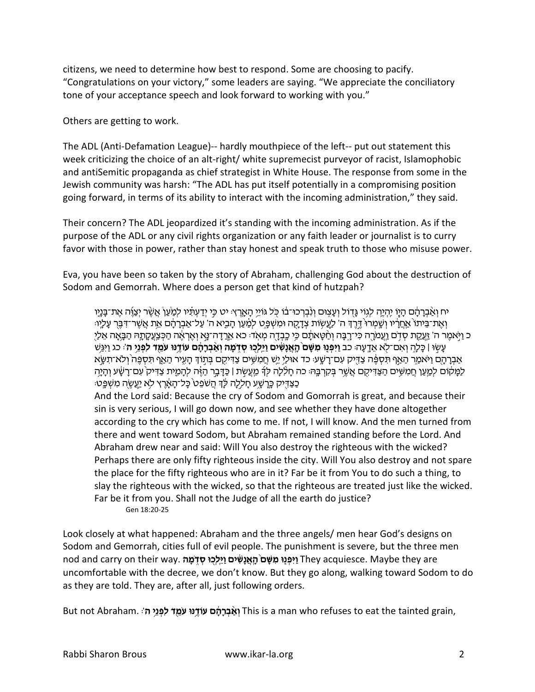citizens, we need to determine how best to respond. Some are choosing to pacify. "Congratulations on your victory," some leaders are saying. "We appreciate the conciliatory tone of your acceptance speech and look forward to working with you."

Others are getting to work.

The ADL (Anti-Defamation League)-- hardly mouthpiece of the left-- put out statement this week criticizing the choice of an alt-right/ white supremecist purveyor of racist, Islamophobic and antiSemitic propaganda as chief strategist in White House. The response from some in the Jewish community was harsh: "The ADL has put itself potentially in a compromising position going forward, in terms of its ability to interact with the incoming administration," they said.

Their concern? The ADL jeopardized it's standing with the incoming administration. As if the purpose of the ADL or any civil rights organization or any faith leader or journalist is to curry favor with those in power, rather than stay honest and speak truth to those who misuse power.

Eva, you have been so taken by the story of Abraham, challenging God about the destruction of Sodom and Gemorrah. Where does a person get that kind of hutzpah?

יח ואברהם היו יהיה לגוי גדול ועצום ונברכו בו כל גויי הארץ. יט כי ידעתיו למעו אשר יצוה את בניו וְאֶת־בִּיתוֹ אֶחְרִיו וְשָׁמְרוֹ דֵרֶךְ ה' לְעֵשְוֹת צְדָקָה וּמְשָׁפֵּט לִמַעַן הַבִיא ה' עַל־אֲבְרֹהֶם אֶת אֲשֶר־דָּבֵר עַלְיוּ: ָכ וַיֹּאמֶר ה' זַעֲקַת סָדָם וַעֲמֹרֶה כִּי־רַבָּה וְחָטָּאתֶם כִּי כָבְדָה מִאָד: כא אַרַדָה־נַא וְאַרֹאָה הַכִּצְעֲקַתָּהּ הַבָּאָה אָלִי עשו | כלה ואם־לא אדעה: כב ויפנו משם האנשים וילכו סדמה ואברהם עודנו עמד לפני ה': כג ויגש אַבְרַהָם וַיֹּאמַר הַאֲף תִּסְפֶּה צַדְיִק עִם־רַשֵּׁע בד אוּלֵי יֵשׁ חֲמִשֶּׁים צַדְיקֵם בְּתֹוּךְ הַעֵּיר הַאֲף תִּסְפֶּה וְלֹא־תִשֵּׂא ַלְמַקּוֹם לְמֵעֶן חֲמִשֶּׁיִם הַצַּדִּיקִם אֲשֶׁר בְּקָרְבָּהּ כה חַלְלַה לִךְ מֵעֵשָׂת | כַּדַּבֵר הַזֶּה להַמֶית צַדִּיק עִם־רַשַּׁע וְהַיַּה ְכַצַּדְיִק כָּרָשֶׁע חָלָלָה לֶֹּךְ הַשֹּׁפֵט כָּל־הָאֲרֶץ לְא יַעֲשֶׂה מִשְׁפֵּט:

And the Lord said: Because the cry of Sodom and Gomorrah is great, and because their sin is very serious, I will go down now, and see whether they have done altogether according to the cry which has come to me. If not, I will know. And the men turned from there and went toward Sodom, but Abraham remained standing before the Lord. And Abraham drew near and said: Will You also destroy the righteous with the wicked? Perhaps there are only fifty righteous inside the city. Will You also destroy and not spare the place for the fifty righteous who are in it? Far be it from You to do such a thing, to slay the righteous with the wicked, so that the righteous are treated just like the wicked. Far be it from you. Shall not the Judge of all the earth do justice? Gen 18:20-25

Look closely at what happened: Abraham and the three angels/ men hear God's designs on Sodom and Gemorrah, cities full of evil people. The punishment is severe, but the three men nod and carry on their way. <u>וֵיְפְּנוּ מִשָּׁם הָאֲנ</u>ָשִׁים <u>וַיֵּלְכוּ סָדְמֵהּ T</u>hey acquiesce. Maybe they are uncomfortable with the decree, we don't know. But they go along, walking toward Sodom to do as they are told. They are, after all, just following orders.

But not Abraham. אַבְרַהָּם עַזְיַנּוּ עַמֶד לִפְגֵי ה' This is a man who refuses to eat the tainted grain,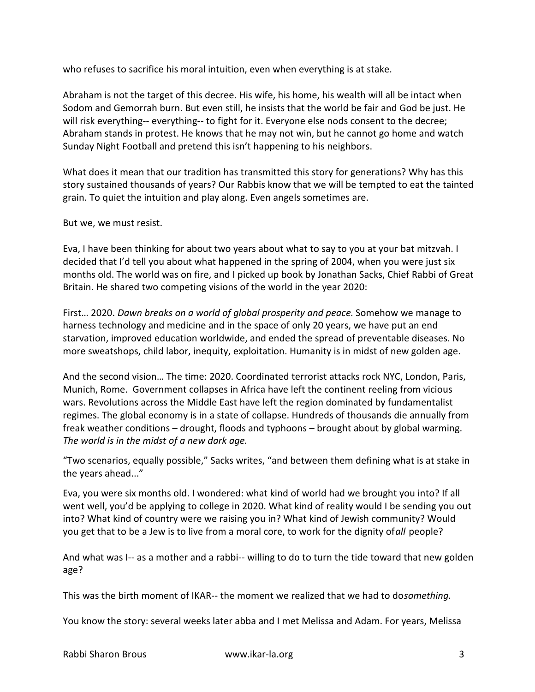who refuses to sacrifice his moral intuition, even when everything is at stake.

Abraham is not the target of this decree. His wife, his home, his wealth will all be intact when Sodom and Gemorrah burn. But even still, he insists that the world be fair and God be just. He will risk everything-- everything-- to fight for it. Everyone else nods consent to the decree; Abraham stands in protest. He knows that he may not win, but he cannot go home and watch Sunday Night Football and pretend this isn't happening to his neighbors.

What does it mean that our tradition has transmitted this story for generations? Why has this story sustained thousands of years? Our Rabbis know that we will be tempted to eat the tainted grain. To quiet the intuition and play along. Even angels sometimes are.

But we, we must resist.

Eva, I have been thinking for about two years about what to say to you at your bat mitzvah. I decided that I'd tell you about what happened in the spring of 2004, when you were just six months old. The world was on fire, and I picked up book by Jonathan Sacks, Chief Rabbi of Great Britain. He shared two competing visions of the world in the year 2020:

First… 2020. *Dawn breaks on a world of global prosperity and peace.* Somehow we manage to harness technology and medicine and in the space of only 20 years, we have put an end starvation, improved education worldwide, and ended the spread of preventable diseases. No more sweatshops, child labor, inequity, exploitation. Humanity is in midst of new golden age.

And the second vision… The time: 2020. Coordinated terrorist attacks rock NYC, London, Paris, Munich, Rome. Government collapses in Africa have left the continent reeling from vicious wars. Revolutions across the Middle East have left the region dominated by fundamentalist regimes. The global economy is in a state of collapse. Hundreds of thousands die annually from freak weather conditions – drought, floods and typhoons – brought about by global warming. *The world is in the midst of a new dark age.*

"Two scenarios, equally possible," Sacks writes, "and between them defining what is at stake in the years ahead..."

Eva, you were six months old. I wondered: what kind of world had we brought you into? If all went well, you'd be applying to college in 2020. What kind of reality would I be sending you out into? What kind of country were we raising you in? What kind of Jewish community? Would you get that to be a Jew is to live from a moral core, to work for the dignity of *all* people?

And what was I-- as a mother and a rabbi-- willing to do to turn the tide toward that new golden age?

This was the birth moment of IKAR-- the moment we realized that we had to dosomething.

You know the story: several weeks later abba and I met Melissa and Adam. For years, Melissa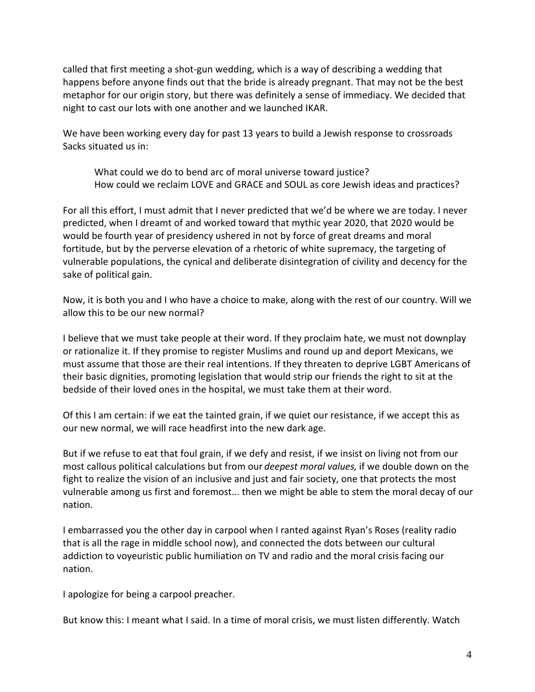called that first meeting a shot-gun wedding, which is a way of describing a wedding that happens before anyone finds out that the bride is already pregnant. That may not be the best metaphor for our origin story, but there was definitely a sense of immediacy. We decided that night to cast our lots with one another and we launched IKAR.

We have been working every day for past 13 years to build a Jewish response to crossroads Sacks situated us in:

What could we do to bend arc of moral universe toward justice? How could we reclaim LOVE and GRACE and SOUL as core Jewish ideas and practices?

For all this effort, I must admit that I never predicted that we'd be where we are today. I never predicted, when I dreamt of and worked toward that mythic year 2020, that 2020 would be would be fourth year of presidency ushered in not by force of great dreams and moral fortitude, but by the perverse elevation of a rhetoric of white supremacy, the targeting of vulnerable populations, the cynical and deliberate disintegration of civility and decency for the sake of political gain.

Now, it is both you and I who have a choice to make, along with the rest of our country. Will we allow this to be our new normal?

I believe that we must take people at their word. If they proclaim hate, we must not downplay or rationalize it. If they promise to register Muslims and round up and deport Mexicans, we must assume that those are their real intentions. If they threaten to deprive LGBT Americans of their basic dignities, promoting legislation that would strip our friends the right to sit at the bedside of their loved ones in the hospital, we must take them at their word.

Of this I am certain: if we eat the tainted grain, if we quiet our resistance, if we accept this as our new normal, we will race headfirst into the new dark age.

But if we refuse to eat that foul grain, if we defy and resist, if we insist on living not from our most callous political calculations but from our *deepest moral values,* if we double down on the fight to realize the vision of an inclusive and just and fair society, one that protects the most vulnerable among us first and foremost... then we might be able to stem the moral decay of our nation.

I embarrassed you the other day in carpool when I ranted against Ryan's Roses (reality radio that is all the rage in middle school now), and connected the dots between our cultural addiction to voyeuristic public humiliation on TV and radio and the moral crisis facing our nation.

I apologize for being a carpool preacher.

But know this: I meant what I said. In a time of moral crisis, we must listen differently. Watch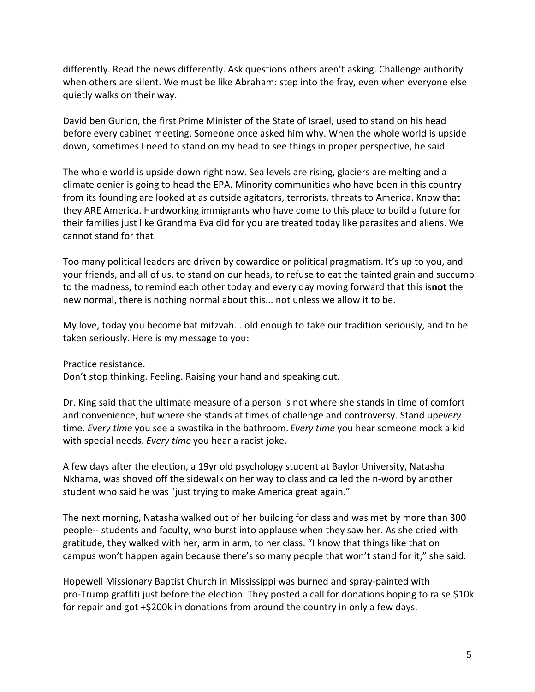differently. Read the news differently. Ask questions others aren't asking. Challenge authority when others are silent. We must be like Abraham: step into the fray, even when everyone else quietly walks on their way.

David ben Gurion, the first Prime Minister of the State of Israel, used to stand on his head before every cabinet meeting. Someone once asked him why. When the whole world is upside down, sometimes I need to stand on my head to see things in proper perspective, he said.

The whole world is upside down right now. Sea levels are rising, glaciers are melting and a climate denier is going to head the EPA. Minority communities who have been in this country from its founding are looked at as outside agitators, terrorists, threats to America. Know that they ARE America. Hardworking immigrants who have come to this place to build a future for their families just like Grandma Eva did for you are treated today like parasites and aliens. We cannot stand for that.

Too many political leaders are driven by cowardice or political pragmatism. It's up to you, and your friends, and all of us, to stand on our heads, to refuse to eat the tainted grain and succumb to the madness, to remind each other today and every day moving forward that this is **not** the new normal, there is nothing normal about this... not unless we allow it to be.

My love, today you become bat mitzvah... old enough to take our tradition seriously, and to be taken seriously. Here is my message to you:

Practice resistance.

Don't stop thinking. Feeling. Raising your hand and speaking out.

Dr. King said that the ultimate measure of a person is not where she stands in time of comfort and convenience, but where she stands at times of challenge and controversy. Stand upevery time. *Every time* you see a swastika in the bathroom. *Every time* you hear someone mock a kid with special needs. *Every time* you hear a racist joke.

A few days after the election, a 19yr old psychology student at Baylor University, Natasha Nkhama, was shoved off the sidewalk on her way to class and called the n-word by another student who said he was "just trying to make America great again."

The next morning, Natasha walked out of her building for class and was met by more than 300 people-- students and faculty, who burst into applause when they saw her. As she cried with gratitude, they walked with her, arm in arm, to her class. "I know that things like that on campus won't happen again because there's so many people that won't stand for it," she said.

Hopewell Missionary Baptist Church in Mississippi was burned and spray-painted with pro-Trump graffiti just before the election. They posted a call for donations hoping to raise \$10k for repair and got +\$200k in donations from around the country in only a few days.